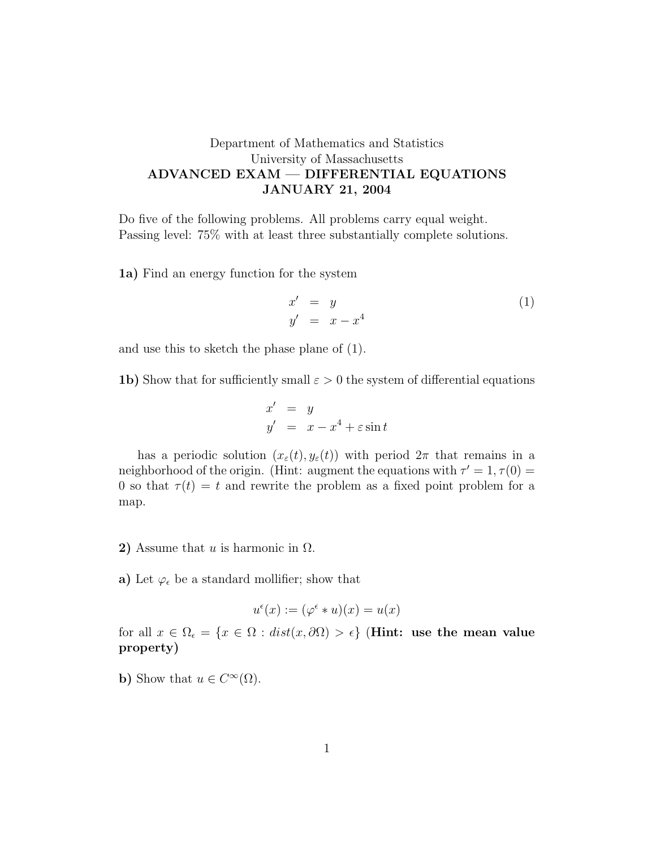## Department of Mathematics and Statistics University of Massachusetts ADVANCED EXAM — DIFFERENTIAL EQUATIONS JANUARY 21, 2004

Do five of the following problems. All problems carry equal weight. Passing level: 75% with at least three substantially complete solutions.

1a) Find an energy function for the system

$$
x' = y
$$
  
\n
$$
y' = x - x^4
$$
\n(1)

and use this to sketch the phase plane of (1).

1b) Show that for sufficiently small  $\varepsilon > 0$  the system of differential equations

$$
x' = y
$$
  

$$
y' = x - x^4 + \varepsilon \sin t
$$

has a periodic solution  $(x_\varepsilon(t), y_\varepsilon(t))$  with period  $2\pi$  that remains in a neighborhood of the origin. (Hint: augment the equations with  $\tau' = 1, \tau(0) =$ 0 so that  $\tau(t) = t$  and rewrite the problem as a fixed point problem for a map.

- 2) Assume that u is harmonic in  $\Omega$ .
- a) Let  $\varphi_{\epsilon}$  be a standard mollifier; show that

$$
u^{\epsilon}(x) := (\varphi^{\epsilon} * u)(x) = u(x)
$$

for all  $x \in \Omega_{\epsilon} = \{x \in \Omega : dist(x, \partial \Omega) > \epsilon\}$  (Hint: use the mean value property)

**b**) Show that  $u \in C^{\infty}(\Omega)$ .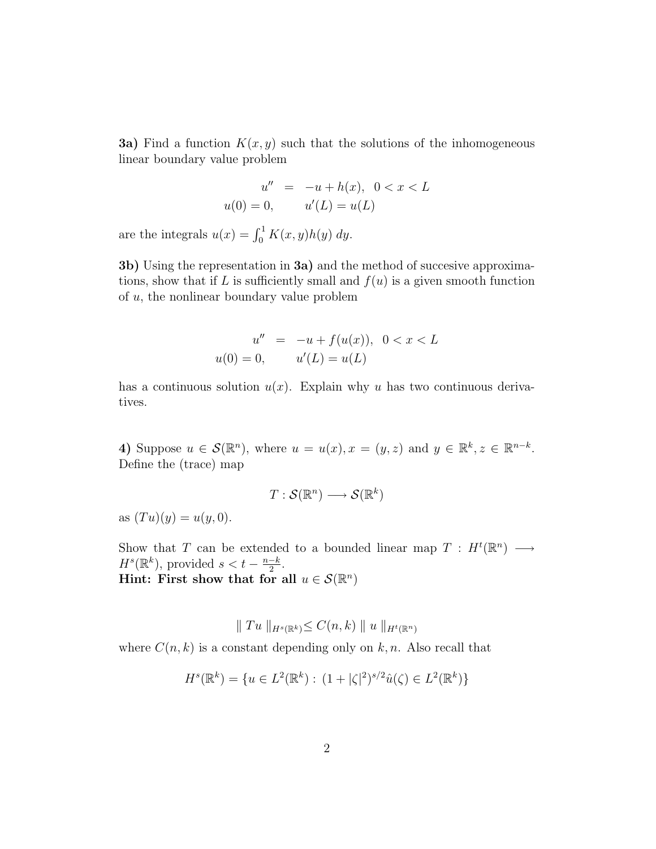**3a)** Find a function  $K(x, y)$  such that the solutions of the inhomogeneous linear boundary value problem

$$
u'' = -u + h(x), \quad 0 < x < L
$$
\n
$$
u(0) = 0, \qquad u'(L) = u(L)
$$

are the integrals  $u(x) = \int_0^1 K(x, y)h(y) dy$ .

3b) Using the representation in 3a) and the method of succesive approximations, show that if L is sufficiently small and  $f(u)$  is a given smooth function of u, the nonlinear boundary value problem

$$
u'' = -u + f(u(x)), \quad 0 < x < L
$$
\n
$$
u(0) = 0, \qquad u'(L) = u(L)
$$

has a continuous solution  $u(x)$ . Explain why u has two continuous derivatives.

4) Suppose  $u \in \mathcal{S}(\mathbb{R}^n)$ , where  $u = u(x), x = (y, z)$  and  $y \in \mathbb{R}^k, z \in \mathbb{R}^{n-k}$ . Define the (trace) map

$$
T: \mathcal{S}(\mathbb{R}^n) \longrightarrow \mathcal{S}(\mathbb{R}^k)
$$

as  $(T u)(y) = u(y, 0)$ .

Show that T can be extended to a bounded linear map  $T : H^t(\mathbb{R}^n) \longrightarrow$  $H^s(\mathbb{R}^k)$ , provided  $s < t - \frac{n-k}{2}$  $\frac{-k}{2}$ . Hint: First show that for all  $u \in \mathcal{S}(\mathbb{R}^n)$ 

$$
\|Tu\|_{H^s(\mathbb{R}^k)} \leq C(n,k) \|u\|_{H^t(\mathbb{R}^n)}
$$

where  $C(n, k)$  is a constant depending only on k, n. Also recall that

$$
H^{s}(\mathbb{R}^{k}) = \{ u \in L^{2}(\mathbb{R}^{k}) : (1 + |\zeta|^{2})^{s/2} \hat{u}(\zeta) \in L^{2}(\mathbb{R}^{k}) \}
$$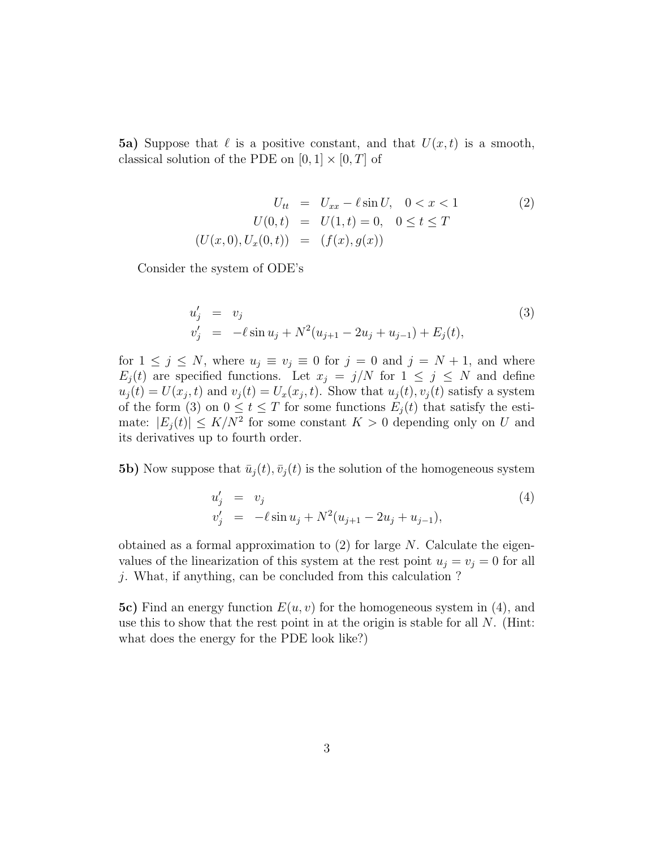**5a)** Suppose that  $\ell$  is a positive constant, and that  $U(x, t)$  is a smooth, classical solution of the PDE on  $[0, 1] \times [0, T]$  of

$$
U_{tt} = U_{xx} - \ell \sin U, \quad 0 < x < 1
$$
  
\n
$$
U(0, t) = U(1, t) = 0, \quad 0 \le t \le T
$$
  
\n
$$
(U(x, 0), U_x(0, t)) = (f(x), g(x))
$$
\n(2)

Consider the system of ODE's

$$
u'_{j} = v_{j}
$$
  
\n
$$
v'_{j} = -\ell \sin u_{j} + N^{2}(u_{j+1} - 2u_{j} + u_{j-1}) + E_{j}(t),
$$
\n(3)

for  $1 \leq j \leq N$ , where  $u_j \equiv v_j \equiv 0$  for  $j = 0$  and  $j = N + 1$ , and where  $E_i(t)$  are specified functions. Let  $x_j = j/N$  for  $1 \leq j \leq N$  and define  $u_j(t) = U(x_j, t)$  and  $v_j(t) = U_x(x_j, t)$ . Show that  $u_j(t), v_j(t)$  satisfy a system of the form (3) on  $0 \le t \le T$  for some functions  $E_j(t)$  that satisfy the estimate:  $|E_j(t)| \leq K/N^2$  for some constant  $K > 0$  depending only on U and its derivatives up to fourth order.

**5b)** Now suppose that  $\bar{u}_j(t), \bar{v}_j(t)$  is the solution of the homogeneous system

$$
u'_{j} = v_{j}
$$
  
\n
$$
v'_{j} = -\ell \sin u_{j} + N^{2}(u_{j+1} - 2u_{j} + u_{j-1}),
$$
\n(4)

obtained as a formal approximation to  $(2)$  for large N. Calculate the eigenvalues of the linearization of this system at the rest point  $u_j = v_j = 0$  for all j. What, if anything, can be concluded from this calculation ?

5c) Find an energy function  $E(u, v)$  for the homogeneous system in (4), and use this to show that the rest point in at the origin is stable for all  $N$ . (Hint: what does the energy for the PDE look like?)